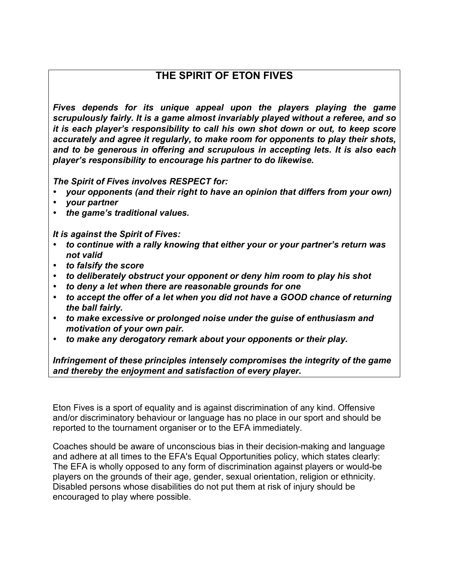## **THE SPIRIT OF ETON FIVES**

*Fives depends for its unique appeal upon the players playing the game scrupulously fairly. It is a game almost invariably played without a referee, and so it is each player's responsibility to call his own shot down or out, to keep score accurately and agree it regularly, to make room for opponents to play their shots, and to be generous in offering and scrupulous in accepting lets. It is also each player's responsibility to encourage his partner to do likewise.* 

*The Spirit of Fives involves RESPECT for:* 

- *your opponents (and their right to have an opinion that differs from your own)*
- *your partner*
- *the game's traditional values.*

*It is against the Spirit of Fives:* 

- *to continue with a rally knowing that either your or your partner's return was not valid*
- *to falsify the score*
- *to deliberately obstruct your opponent or deny him room to play his shot*
- *to deny a let when there are reasonable grounds for one*
- *to accept the offer of a let when you did not have a GOOD chance of returning the ball fairly.*
- *to make excessive or prolonged noise under the guise of enthusiasm and motivation of your own pair.*
- *to make any derogatory remark about your opponents or their play.*

*Infringement of these principles intensely compromises the integrity of the game and thereby the enjoyment and satisfaction of every player.* 

Eton Fives is a sport of equality and is against discrimination of any kind. Offensive and/or discriminatory behaviour or language has no place in our sport and should be reported to the tournament organiser or to the EFA immediately.

Coaches should be aware of unconscious bias in their decision-making and language and adhere at all times to the EFA's Equal Opportunities policy, which states clearly: The EFA is wholly opposed to any form of discrimination against players or would-be players on the grounds of their age, gender, sexual orientation, religion or ethnicity. Disabled persons whose disabilities do not put them at risk of injury should be encouraged to play where possible.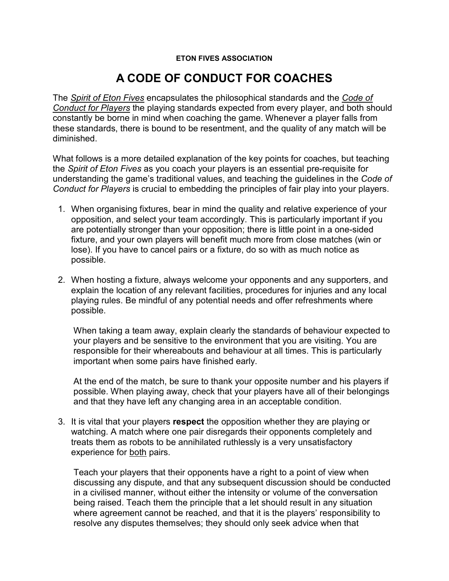## **ETON FIVES ASSOCIATION**

## **A CODE OF CONDUCT FOR COACHES**

The *Spirit of Eton Fives* encapsulates the philosophical standards and the *Code of Conduct for Players* the playing standards expected from every player, and both should constantly be borne in mind when coaching the game. Whenever a player falls from these standards, there is bound to be resentment, and the quality of any match will be diminished.

What follows is a more detailed explanation of the key points for coaches, but teaching the *Spirit of Eton Fives* as you coach your players is an essential pre-requisite for understanding the game's traditional values, and teaching the quidelines in the *Code of Conduct for Players* is crucial to embedding the principles of fair play into your players.

- 1. When organising fixtures, bear in mind the quality and relative experience of your opposition, and select your team accordingly. This is particularly important if you are potentially stronger than your opposition; there is little point in a one-sided fixture, and your own players will benefit much more from close matches (win or lose). If you have to cancel pairs or a fixture, do so with as much notice as possible.
- 2. When hosting a fixture, always welcome your opponents and any supporters, and explain the location of any relevant facilities, procedures for injuries and any local playing rules. Be mindful of any potential needs and offer refreshments where possible.

When taking a team away, explain clearly the standards of behaviour expected to your players and be sensitive to the environment that you are visiting. You are responsible for their whereabouts and behaviour at all times. This is particularly important when some pairs have finished early.

At the end of the match, be sure to thank your opposite number and his players if possible. When playing away, check that your players have all of their belongings and that they have left any changing area in an acceptable condition.

3. It is vital that your players **respect** the opposition whether they are playing or watching. A match where one pair disregards their opponents completely and treats them as robots to be annihilated ruthlessly is a very unsatisfactory experience for both pairs.

Teach your players that their opponents have a right to a point of view when discussing any dispute, and that any subsequent discussion should be conducted in a civilised manner, without either the intensity or volume of the conversation being raised. Teach them the principle that a let should result in any situation where agreement cannot be reached, and that it is the players' responsibility to resolve any disputes themselves; they should only seek advice when that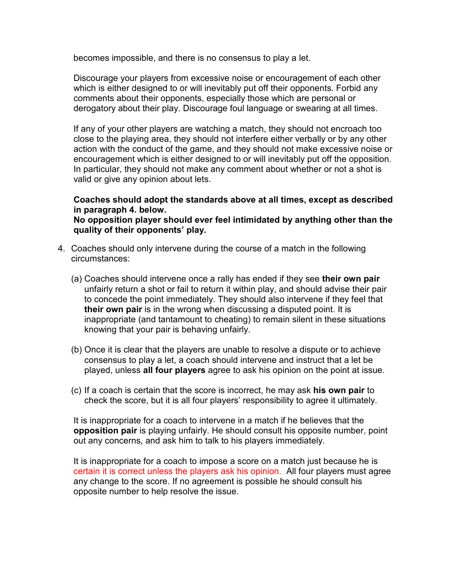becomes impossible, and there is no consensus to play a let.

Discourage your players from excessive noise or encouragement of each other which is either designed to or will inevitably put off their opponents. Forbid any comments about their opponents, especially those which are personal or derogatory about their play. Discourage foul language or swearing at all times.

If any of your other players are watching a match, they should not encroach too close to the playing area, they should not interfere either verbally or by any other action with the conduct of the game, and they should not make excessive noise or encouragement which is either designed to or will inevitably put off the opposition. In particular, they should not make any comment about whether or not a shot is valid or give any opinion about lets.

## **Coaches should adopt the standards above at all times, except as described in paragraph 4. below.**

**No opposition player should ever feel intimidated by anything other than the quality of their opponents' play.** 

- 4. Coaches should only intervene during the course of a match in the following circumstances:
	- (a) Coaches should intervene once a rally has ended if they see **their own pair** unfairly return a shot or fail to return it within play, and should advise their pair to concede the point immediately. They should also intervene if they feel that **their own pair** is in the wrong when discussing a disputed point. It is inappropriate (and tantamount to cheating) to remain silent in these situations knowing that your pair is behaving unfairly.
	- (b) Once it is clear that the players are unable to resolve a dispute or to achieve consensus to play a let, a coach should intervene and instruct that a let be played, unless all four players agree to ask his opinion on the point at issue.
	- (c) If a coach is certain that the score is incorrect, he may ask **his own pair** to check the score, but it is all four players' responsibility to agree it ultimately.

It is inappropriate for a coach to intervene in a match if he believes that the **opposition pair** is playing unfairly. He should consult his opposite number, point out any concerns, and ask him to talk to his players immediately.

It is inappropriate for a coach to impose a score on a match just because he is certain it is correct unless the players ask his opinion. All four players must agree any change to the score. If no agreement is possible he should consult his opposite number to help resolve the issue.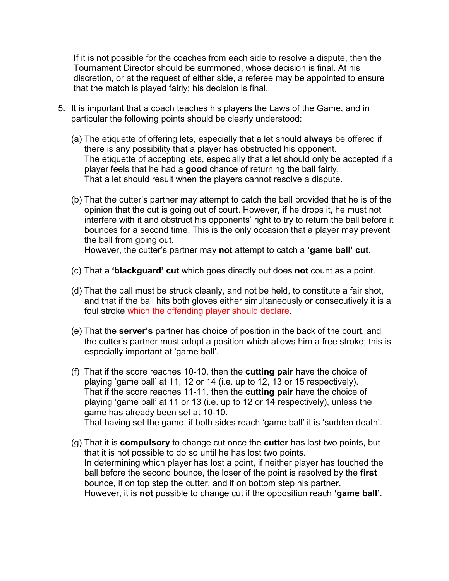If it is not possible for the coaches from each side to resolve a dispute, then the Tournament Director should be summoned, whose decision is final. At his discretion, or at the request of either side, a referee may be appointed to ensure that the match is played fairly; his decision is final.

- 5. It is important that a coach teaches his players the Laws of the Game, and in particular the following points should be clearly understood:
	- (a) The etiquette of offering lets, especially that a let should **always** be offered if there is any possibility that a player has obstructed his opponent. The etiquette of accepting lets, especially that a let should only be accepted if a player feels that he had a good chance of returning the ball fairly. That a let should result when the players cannot resolve a dispute.
	- (b) That the cutter's partner may attempt to catch the ball provided that he is of the opinion that the cut is going out of court. However, if he drops it, he must not interfere with it and obstruct his opponents' right to try to return the ball before it bounces for a second time. This is the only occasion that a player may prevent the ball from going out. However, the cutter's partner may **not** attempt to catch a **'game ball' cut**.
	-
	- (c) That a **'blackguard' cut** which goes directvy out does **not** count as a point.
	- (d) That the ball must be struck cleanly, and not be held, to constitute a fair shot, and that if the ball hits both gloves either simultaneously or consecutively it is a foul stroke which the offending player should declare.
	- (e) That the **server's** partner has choice of position in the back of the court, and the cutter's partner must adopt a position which allows him a free stroke; this is especially important at 'game ball'.
	- (f) That if the score reaches 10-10, then the **cutting pair** have the choice of playing 'game ball' at 11, 12 or 14 (i.e. up to 12, 13 or 15 respectively). That if the score reaches 11-11, then the **cutting pair** have the choice of playing 'game ball' at 11 or 13 (i.e. up to 12 or 14 respectively), unless the game has already been set at 10-10. That having set the game, if both sides reach 'game ball' it is 'sudden death'.
	- (g) That it is **compulsory** to change cut once the **cutter** has lost two points, but that it is not possible to do so until he has lost two points. In determining which player has lost a point, if neither player has touched the ball before the second bounce, the loser of the point is resolved by the first bounce, if on top step the cutter, and if on bottom step his partner. However, it is **not** possible to change cut if the opposition reach 'game ball'.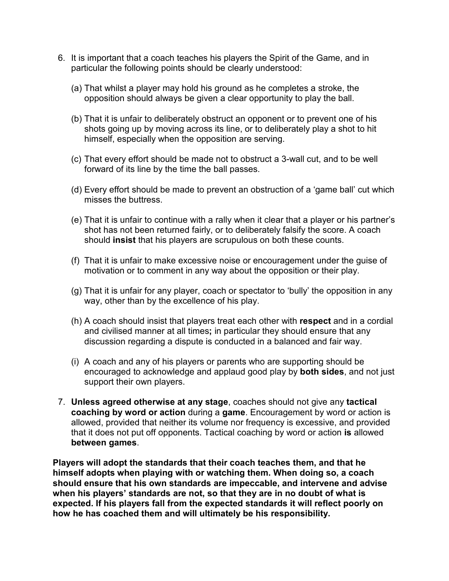- 6. It is important that a coach teaches his players the Spirit of the Game, and in particular the following points should be clearly understood:
	- (a) That whilst a player may hold his ground as he completes a stroke, the opposition should always be given a clear opportunity to play the ball.
	- (b) That it is unfair to deliberately obstruct an opponent or to prevent one of his shots going up by moving across its line, or to deliberately play a shot to hit himself, especially when the opposition are serving.
	- (c) That every effort should be made not to obstruct a 3-wall cut, and to be well forward of its line by the time the ball passes.
	- (d) Every effort should be made to prevent an obstruction of a 'game ball' cut which misses the buttress.
	- (e) That it is unfair to continue with a rally when it clear that a player or his partner's shot has not been returned fairly, or to deliberately falsify the score. A coach should **insist** that his players are scrupulous on both these counts.
	- (f) That it is unfair to make excessive noise or encouragement under the guise of motivation or to comment in any way about the opposition or their play.
	- $(q)$  That it is unfair for any player, coach or spectator to 'bully' the opposition in any way, other than by the excellence of his play.
	- (h) A coach should insist that players treat each other with **respect** and in a cordial and civilised manner at all times; in particular they should ensure that any discussion regarding a dispute is conducted in a balanced and fair way.
	- $(i)$  A coach and any of his players or parents who are supporting should be encouraged to acknowledge and applaud good play by **both sides**, and not just support their own players.
- 7. **Unless agreed otherwise at any stage**, coaches should not give any tactical **coaching by word or action** during a **game**. Encouragement by word or action is allowed, provided that neither its volume nor frequency is excessive, and provided that it does not put off opponents. Tactical coaching by word or action is allowed **between games**.

**Players will adopt the standards that their coach teaches them, and that he himself adopts when playing with or watching them. When doing so, a coach should ensure that his own standards are impeccable, and intervene and advise when his players' standards are not, so that they are in no doubt of what is expected. If his players fall from the expected standards it will reflect poorly on how he has coached them and will ultimately be his responsibility.**